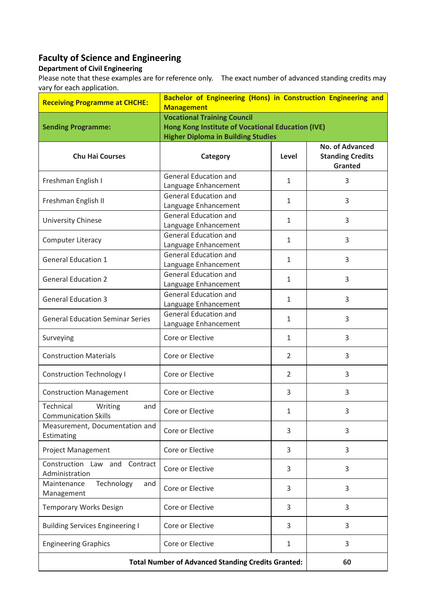## **Faculty of Science and Engineering**

## **Department of Civil Engineering**

Please note that these examples are for reference only. The exact number of advanced standing credits may vary for each application.

| <b>Receiving Programme at CHCHE:</b>                       | Bachelor of Engineering (Hons) in Construction Engineering and |                |                                                              |
|------------------------------------------------------------|----------------------------------------------------------------|----------------|--------------------------------------------------------------|
|                                                            | <b>Management</b>                                              |                |                                                              |
|                                                            | <b>Vocational Training Council</b>                             |                |                                                              |
| <b>Sending Programme:</b>                                  | <b>Hong Kong Institute of Vocational Education (IVE)</b>       |                |                                                              |
|                                                            | <b>Higher Diploma in Building Studies</b>                      |                |                                                              |
| <b>Chu Hai Courses</b>                                     | <b>Category</b>                                                | Level          | <b>No. of Advanced</b><br><b>Standing Credits</b><br>Granted |
| Freshman English I                                         | <b>General Education and</b><br>Language Enhancement           | $\mathbf{1}$   | 3                                                            |
| Freshman English II                                        | <b>General Education and</b><br>Language Enhancement           | $\mathbf{1}$   | 3                                                            |
| University Chinese                                         | <b>General Education and</b><br>Language Enhancement           | $\mathbf{1}$   | 3                                                            |
| Computer Literacy                                          | <b>General Education and</b><br>Language Enhancement           | $\mathbf{1}$   | 3                                                            |
| <b>General Education 1</b>                                 | <b>General Education and</b><br>Language Enhancement           | $\mathbf{1}$   | 3                                                            |
| <b>General Education 2</b>                                 | <b>General Education and</b><br>Language Enhancement           | $\mathbf{1}$   | 3                                                            |
| <b>General Education 3</b>                                 | <b>General Education and</b><br>Language Enhancement           | $\mathbf{1}$   | 3                                                            |
| <b>General Education Seminar Series</b>                    | <b>General Education and</b><br>Language Enhancement           | $\mathbf{1}$   | 3                                                            |
| Surveying                                                  | Core or Elective                                               | $\mathbf{1}$   | 3                                                            |
| <b>Construction Materials</b>                              | Core or Elective                                               | $\overline{2}$ | 3                                                            |
| <b>Construction Technology I</b>                           | Core or Elective                                               | $\overline{2}$ | 3                                                            |
| <b>Construction Management</b>                             | Core or Elective                                               | 3              | 3                                                            |
| Technical<br>Writing<br>and<br><b>Communication Skills</b> | Core or Elective                                               | 1              | 3                                                            |
| Measurement, Documentation and<br>Estimating               | Core or Elective                                               | 3              | 3                                                            |
| <b>Project Management</b>                                  | Core or Elective                                               | 3              | 3                                                            |
| Construction Law and Contract<br>Administration            | Core or Elective                                               | 3              | 3                                                            |
| Maintenance<br>Technology<br>and<br>Management             | Core or Elective                                               | 3              | 3                                                            |
| <b>Temporary Works Design</b>                              | Core or Elective                                               | 3              | 3                                                            |
| <b>Building Services Engineering I</b>                     | Core or Elective                                               | 3              | 3                                                            |
| <b>Engineering Graphics</b>                                | Core or Elective                                               | $\mathbf{1}$   | 3                                                            |
| <b>Total Number of Advanced Standing Credits Granted:</b>  |                                                                |                | 60                                                           |